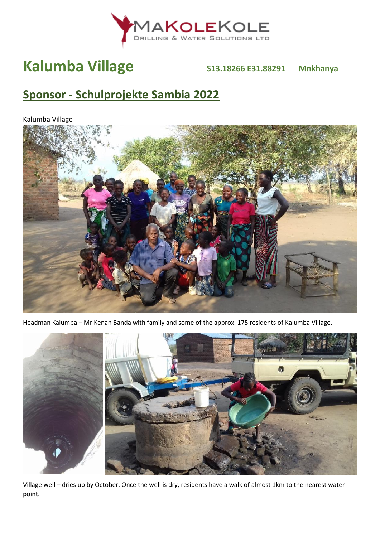

# **Kalumba Village S13.18266 E31.88291 Mnkhanya**

## **Sponsor - Schulprojekte Sambia 2022**

Kalumba Village



Headman Kalumba – Mr Kenan Banda with family and some of the approx. 175 residents of Kalumba Village.



Village well – dries up by October. Once the well is dry, residents have a walk of almost 1km to the nearest water point.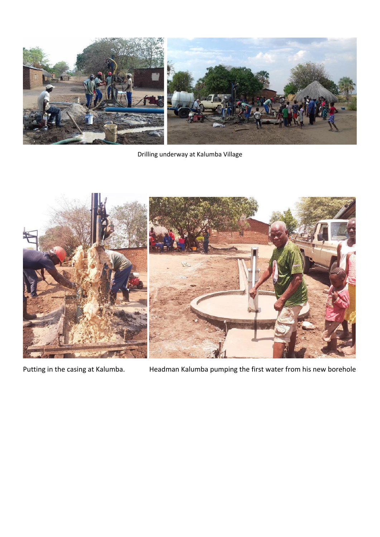

Drilling underway at Kalumba Village



Putting in the casing at Kalumba. Headman Kalumba pumping the first water from his new borehole